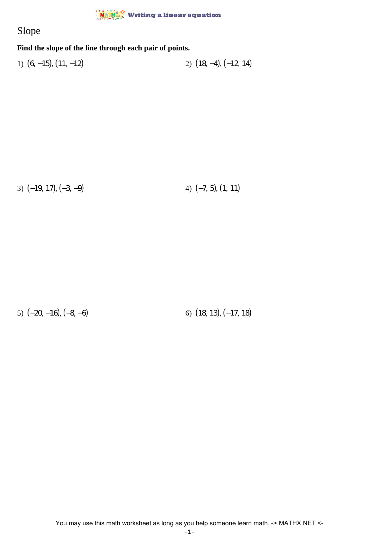## **MATHE** Writing a linear equation

## Slope

## **Find the slope of the line through each pair of points.**

1)  $(6, -15)$ ,  $(11, -12)$  2)  $(18, -4)$ ,  $(-12, 14)$ 

3)  $(-19, 17), (-3, -9)$  4)  $(-7, 5), (1, 11)$ 

5)  $(-20, -16)$ ,  $(-8, -6)$  6)  $(18, 13)$ ,  $(-17, 18)$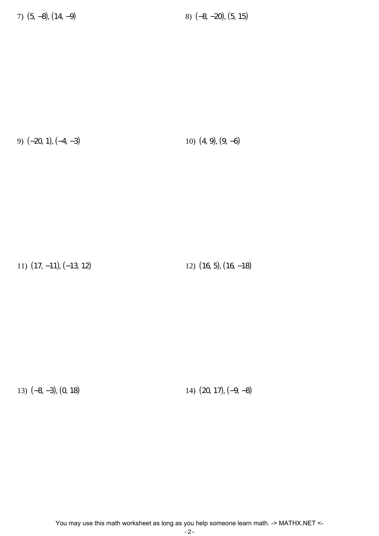7) (5, −8), (14, −9) 8) (−8, −20), (5, 15)

9) (−20, 1), (−4, −3) 10) (4, 9), (9, −6)

11) (17, −11), (−13, 12) 12) (16, 5), (16, −18)

13) (−8, −3), (0, 18) 14) (20, 17), (−9, −8)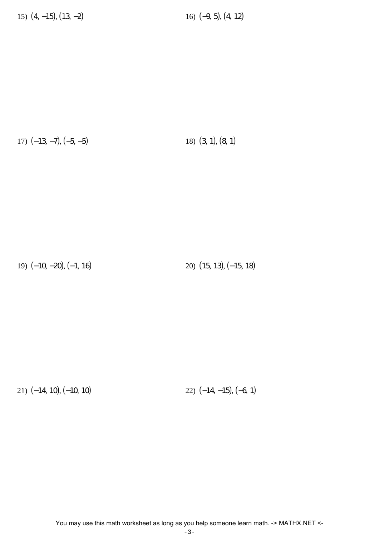17)  $(-13, -7), (-5, -5)$  18)  $(3, 1), (8, 1)$ 

19) (−10, −20), (−1, 16) 20) (15, 13), (−15, 18)

21) (−14, 10), (−10, 10) 22) (−14, −15), (−6, 1)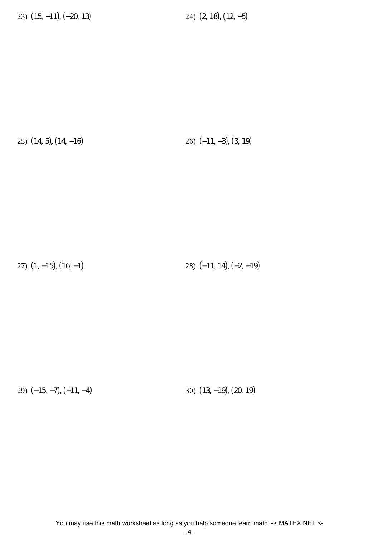25) (14, 5), (14, −16) 26) (−11, −3), (3, 19)

27) (1, −15), (16, −1) 28) (−11, 14), (−2, −19)

29) (−15, −7), (−11, −4) 30) (13, −19), (20, 19)